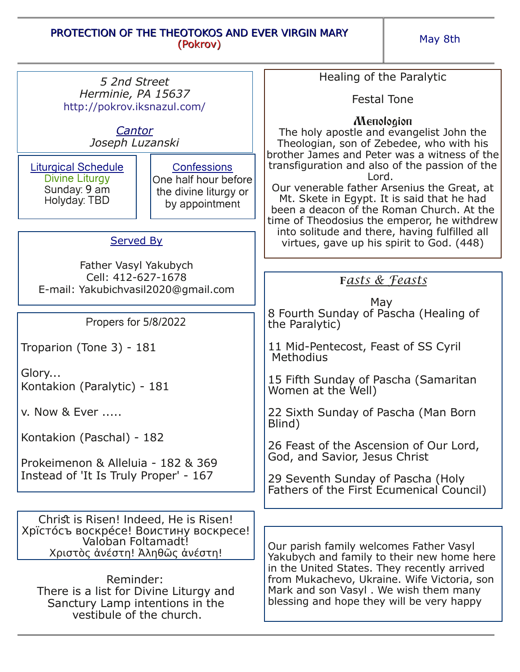## PROTECTION OF THE THEOTOKOS AND EVER VIRGIN MARY (Pokrov)

May 8th

| 5 2nd Street                                                                                                       |                                                                                       | Healing of the Paralytic                                                                                                                                                                                                                                                                          |
|--------------------------------------------------------------------------------------------------------------------|---------------------------------------------------------------------------------------|---------------------------------------------------------------------------------------------------------------------------------------------------------------------------------------------------------------------------------------------------------------------------------------------------|
| Herminie, PA 15637<br>http://pokrov.iksnazul.com/                                                                  |                                                                                       | <b>Festal Tone</b>                                                                                                                                                                                                                                                                                |
| Cantor<br>Joseph Luzanski                                                                                          |                                                                                       | Menologion<br>The holy apostle and evangelist John the<br>Theologian, son of Zebedee, who with his<br>brother James and Peter was a witness of the                                                                                                                                                |
| <b>Liturgical Schedule</b><br>Divine Liturgy<br>Sunday: 9 am<br>Holyday: TBD                                       | <b>Confessions</b><br>One half hour before<br>the divine liturgy or<br>by appointment | transfiguration and also of the passion of the<br>Lord.<br>Our venerable father Arsenius the Great, at<br>Mt. Skete in Egypt. It is said that he had<br>been a deacon of the Roman Church. At the<br>time of Theodosius the emperor, he withdrew<br>into solitude and there, having fulfilled all |
| <b>Served By</b>                                                                                                   |                                                                                       | virtues, gave up his spirit to God. (448)                                                                                                                                                                                                                                                         |
| Father Vasyl Yakubych                                                                                              |                                                                                       |                                                                                                                                                                                                                                                                                                   |
| Cell: 412-627-1678                                                                                                 |                                                                                       | Fasts & Feasts                                                                                                                                                                                                                                                                                    |
| E-mail: Yakubichvasil2020@gmail.com                                                                                |                                                                                       |                                                                                                                                                                                                                                                                                                   |
| Propers for 5/8/2022                                                                                               |                                                                                       | May<br>8 Fourth Sunday of Pascha (Healing of<br>the Paralytic)                                                                                                                                                                                                                                    |
| Troparion (Tone 3) - 181                                                                                           |                                                                                       | 11 Mid-Pentecost, Feast of SS Cyril<br>Methodius                                                                                                                                                                                                                                                  |
| Glory<br>Kontakion (Paralytic) - 181                                                                               |                                                                                       | 15 Fifth Sunday of Pascha (Samaritan<br>Women at the Well)                                                                                                                                                                                                                                        |
| v. Now & Ever                                                                                                      |                                                                                       | 22 Sixth Sunday of Pascha (Man Born<br>Blind)                                                                                                                                                                                                                                                     |
| Kontakion (Paschal) - 182<br>Prokeimenon & Alleluia - 182 & 369                                                    |                                                                                       | 26 Feast of the Ascension of Our Lord,<br>God, and Savior, Jesus Christ                                                                                                                                                                                                                           |
| Instead of 'It Is Truly Proper' - 167                                                                              |                                                                                       | 29 Seventh Sunday of Pascha (Holy<br>Fathers of the First Ecumenical Council)                                                                                                                                                                                                                     |
|                                                                                                                    |                                                                                       |                                                                                                                                                                                                                                                                                                   |
| Christ is Risen! Indeed, He is Risen!<br>Хрїстосъ воскресе! Воистину воскресе!                                     |                                                                                       |                                                                                                                                                                                                                                                                                                   |
| Valoban Foltamadt!<br>Χριστὸς ἀνέστη! Άληθῶς ἀνέστη!                                                               |                                                                                       | Our parish family welcomes Father Vasyl<br>Yakubych and family to their new home here<br>in the United States. They recently arrived<br>from Mukachevo, Ukraine. Wife Victoria, son<br>Mark and son Vasyl. We wish them many<br>blessing and hope they will be very happy                         |
| Reminder:<br>There is a list for Divine Liturgy and<br>Sanctury Lamp intentions in the<br>vestibule of the church. |                                                                                       |                                                                                                                                                                                                                                                                                                   |